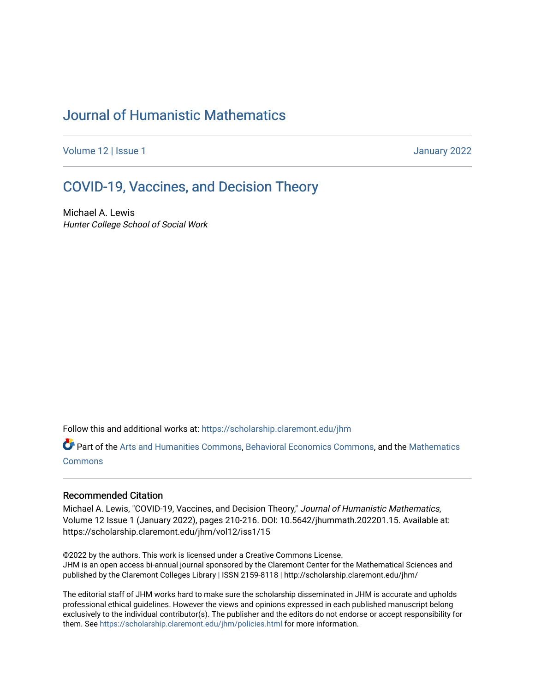# [Journal of Humanistic Mathematics](https://scholarship.claremont.edu/jhm)

[Volume 12](https://scholarship.claremont.edu/jhm/vol12) | Issue 1 January 2022

# [COVID-19, Vaccines, and Decision Theory](https://scholarship.claremont.edu/jhm/vol12/iss1/15)

Michael A. Lewis Hunter College School of Social Work

Follow this and additional works at: [https://scholarship.claremont.edu/jhm](https://scholarship.claremont.edu/jhm?utm_source=scholarship.claremont.edu%2Fjhm%2Fvol12%2Fiss1%2F15&utm_medium=PDF&utm_campaign=PDFCoverPages)

Part of the [Arts and Humanities Commons,](http://network.bepress.com/hgg/discipline/438?utm_source=scholarship.claremont.edu%2Fjhm%2Fvol12%2Fiss1%2F15&utm_medium=PDF&utm_campaign=PDFCoverPages) [Behavioral Economics Commons](http://network.bepress.com/hgg/discipline/341?utm_source=scholarship.claremont.edu%2Fjhm%2Fvol12%2Fiss1%2F15&utm_medium=PDF&utm_campaign=PDFCoverPages), and the [Mathematics](http://network.bepress.com/hgg/discipline/174?utm_source=scholarship.claremont.edu%2Fjhm%2Fvol12%2Fiss1%2F15&utm_medium=PDF&utm_campaign=PDFCoverPages)  [Commons](http://network.bepress.com/hgg/discipline/174?utm_source=scholarship.claremont.edu%2Fjhm%2Fvol12%2Fiss1%2F15&utm_medium=PDF&utm_campaign=PDFCoverPages)

### Recommended Citation

Michael A. Lewis, "COVID-19, Vaccines, and Decision Theory," Journal of Humanistic Mathematics, Volume 12 Issue 1 (January 2022), pages 210-216. DOI: 10.5642/jhummath.202201.15. Available at: https://scholarship.claremont.edu/jhm/vol12/iss1/15

©2022 by the authors. This work is licensed under a Creative Commons License. JHM is an open access bi-annual journal sponsored by the Claremont Center for the Mathematical Sciences and published by the Claremont Colleges Library | ISSN 2159-8118 | http://scholarship.claremont.edu/jhm/

The editorial staff of JHM works hard to make sure the scholarship disseminated in JHM is accurate and upholds professional ethical guidelines. However the views and opinions expressed in each published manuscript belong exclusively to the individual contributor(s). The publisher and the editors do not endorse or accept responsibility for them. See<https://scholarship.claremont.edu/jhm/policies.html> for more information.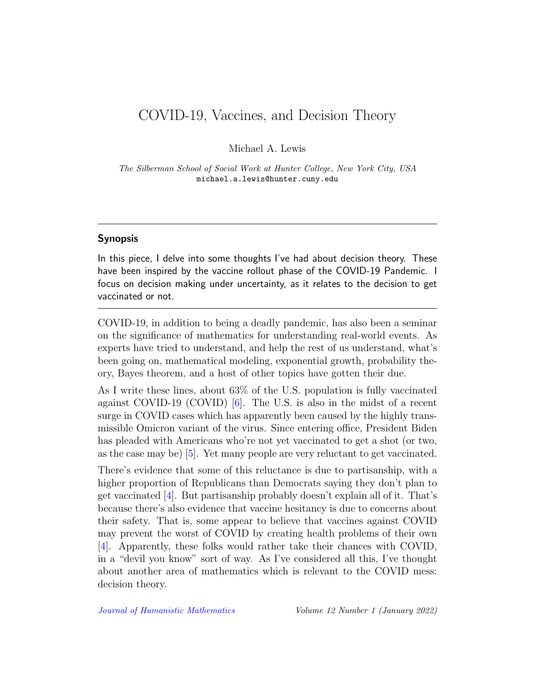## COVID-19, Vaccines, and Decision Theory

Michael A. Lewis

The Silberman School of Social Work at Hunter College, New York City, USA michael.a.lewis@hunter.cuny.edu

#### Synopsis

In this piece, I delve into some thoughts I've had about decision theory. These have been inspired by the vaccine rollout phase of the COVID-19 Pandemic. I focus on decision making under uncertainty, as it relates to the decision to get vaccinated or not.

COVID-19, in addition to being a deadly pandemic, has also been a seminar on the significance of mathematics for understanding real-world events. As experts have tried to understand, and help the rest of us understand, what's been going on, mathematical modeling, exponential growth, probability theory, Bayes theorem, and a host of other topics have gotten their due.

As I write these lines, about 63% of the U.S. population is fully vaccinated against COVID-19 (COVID) [\[6\]](#page-6-0). The U.S. is also in the midst of a recent surge in COVID cases which has apparently been caused by the highly transmissible Omicron variant of the virus. Since entering office, President Biden has pleaded with Americans who're not yet vaccinated to get a shot (or two, as the case may be) [\[5\]](#page-6-1). Yet many people are very reluctant to get vaccinated.

There's evidence that some of this reluctance is due to partisanship, with a higher proportion of Republicans than Democrats saying they don't plan to get vaccinated [\[4\]](#page-6-2). But partisanship probably doesn't explain all of it. That's because there's also evidence that vaccine hesitancy is due to concerns about their safety. That is, some appear to believe that vaccines against COVID may prevent the worst of COVID by creating health problems of their own [\[4\]](#page-6-2). Apparently, these folks would rather take their chances with COVID, in a "devil you know" sort of way. As I've considered all this, I've thought about another area of mathematics which is relevant to the COVID mess: decision theory.

[Journal of Humanistic Mathematics](http://scholarship.claremont.edu/jhm/) Volume 12 Number 1 (January 2022)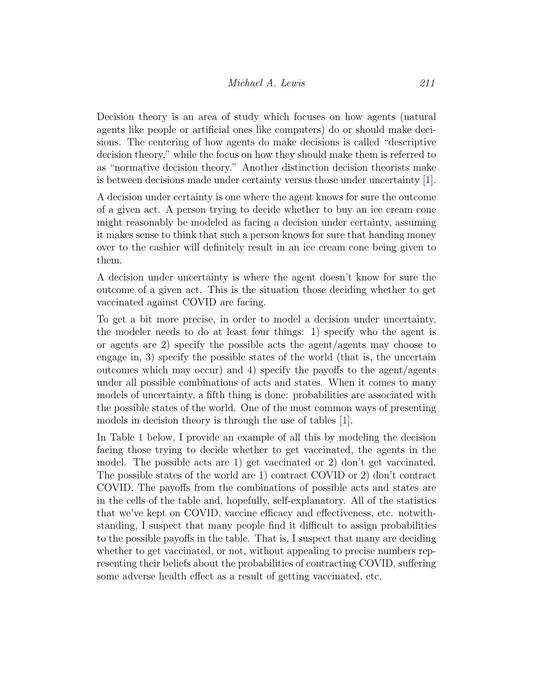Decision theory is an area of study which focuses on how agents (natural agents like people or artificial ones like computers) do or should make decisions. The centering of how agents do make decisions is called "descriptive decision theory," while the focus on how they should make them is referred to as "normative decision theory." Another distinction decision theorists make is between decisions made under certainty versus those under uncertainty [\[1\]](#page-6-3).

A decision under certainty is one where the agent knows for sure the outcome of a given act. A person trying to decide whether to buy an ice cream cone might reasonably be modeled as facing a decision under certainty, assuming it makes sense to think that such a person knows for sure that handing money over to the cashier will definitely result in an ice cream cone being given to them.

A decision under uncertainty is where the agent doesn't know for sure the outcome of a given act. This is the situation those deciding whether to get vaccinated against COVID are facing.

To get a bit more precise, in order to model a decision under uncertainty, the modeler needs to do at least four things: 1) specify who the agent is or agents are 2) specify the possible acts the agent/agents may choose to engage in, 3) specify the possible states of the world (that is, the uncertain outcomes which may occur) and 4) specify the payoffs to the agent/agents under all possible combinations of acts and states. When it comes to many models of uncertainty, a fifth thing is done: probabilities are associated with the possible states of the world. One of the most common ways of presenting models in decision theory is through the use of tables [\[1\]](#page-6-3).

In Table [1](#page-3-0) below, I provide an example of all this by modeling the decision facing those trying to decide whether to get vaccinated, the agents in the model. The possible acts are 1) get vaccinated or 2) don't get vaccinated. The possible states of the world are 1) contract COVID or 2) don't contract COVID. The payoffs from the combinations of possible acts and states are in the cells of the table and, hopefully, self-explanatory. All of the statistics that we've kept on COVID, vaccine efficacy and effectiveness, etc. notwithstanding, I suspect that many people find it difficult to assign probabilities to the possible payoffs in the table. That is, I suspect that many are deciding whether to get vaccinated, or not, without appealing to precise numbers representing their beliefs about the probabilities of contracting COVID, suffering some adverse health effect as a result of getting vaccinated, etc.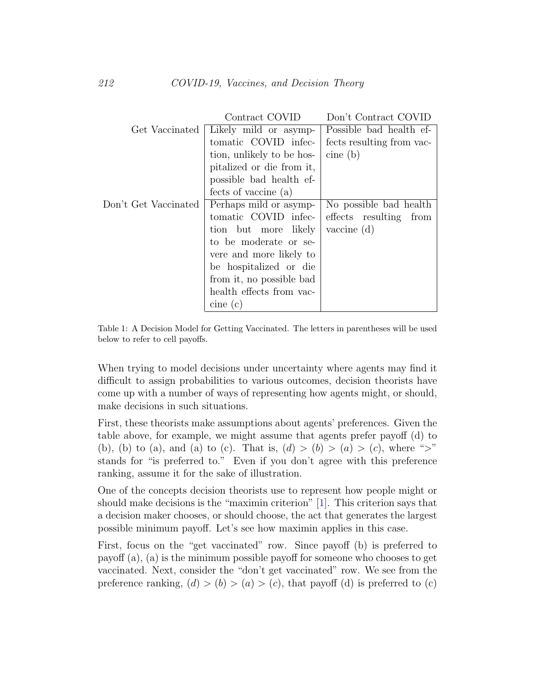|                      | Contract COVID            | Don't Contract COVID      |
|----------------------|---------------------------|---------------------------|
| Get Vaccinated       | Likely mild or asymp-     | Possible bad health ef-   |
|                      | tomatic COVID infec-      | fects resulting from vac- |
|                      | tion, unlikely to be hos- | cine(b)                   |
|                      | pitalized or die from it, |                           |
|                      | possible bad health ef-   |                           |
|                      | fects of vaccine (a)      |                           |
| Don't Get Vaccinated | Perhaps mild or asymp-    | No possible bad health    |
|                      | tomatic COVID infec-      | effects resulting<br>from |
|                      | tion but more likely      | $\alpha$ vaccine $(d)$    |
|                      | to be moderate or se-     |                           |
|                      | vere and more likely to   |                           |
|                      | be hospitalized or die    |                           |
|                      | from it, no possible bad  |                           |
|                      | health effects from vac-  |                           |
|                      | cine(c)                   |                           |

<span id="page-3-0"></span>Table 1: A Decision Model for Getting Vaccinated. The letters in parentheses will be used below to refer to cell payoffs.

When trying to model decisions under uncertainty where agents may find it difficult to assign probabilities to various outcomes, decision theorists have come up with a number of ways of representing how agents might, or should, make decisions in such situations.

First, these theorists make assumptions about agents' preferences. Given the table above, for example, we might assume that agents prefer payoff (d) to (b), (b) to (a), and (a) to (c). That is,  $(d) > (b) > (a) > (c)$ , where ">" stands for "is preferred to." Even if you don't agree with this preference ranking, assume it for the sake of illustration.

One of the concepts decision theorists use to represent how people might or should make decisions is the "maximin criterion" [\[1\]](#page-6-3). This criterion says that a decision maker chooses, or should choose, the act that generates the largest possible minimum payoff. Let's see how maximin applies in this case.

First, focus on the "get vaccinated" row. Since payoff (b) is preferred to payoff (a), (a) is the minimum possible payoff for someone who chooses to get vaccinated. Next, consider the "don't get vaccinated" row. We see from the preference ranking,  $(d) > (b) > (a) > (c)$ , that payoff (d) is preferred to (c)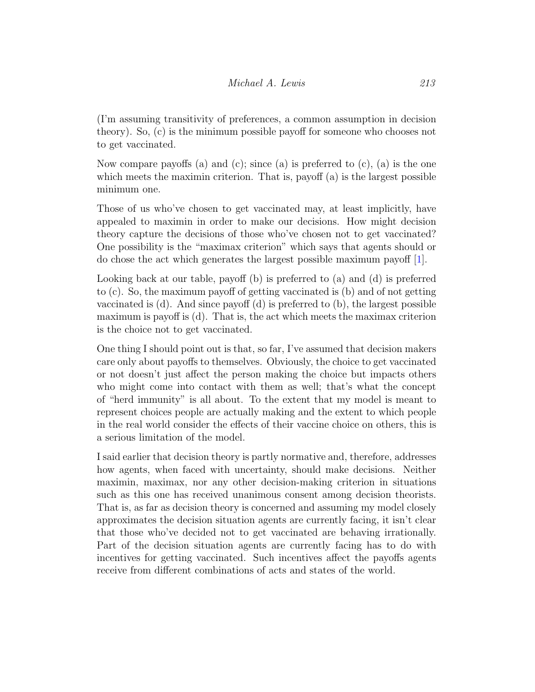(I'm assuming transitivity of preferences, a common assumption in decision theory). So, (c) is the minimum possible payoff for someone who chooses not to get vaccinated.

Now compare payoffs (a) and (c); since (a) is preferred to  $(c)$ , (a) is the one which meets the maximin criterion. That is, payoff (a) is the largest possible minimum one.

Those of us who've chosen to get vaccinated may, at least implicitly, have appealed to maximin in order to make our decisions. How might decision theory capture the decisions of those who've chosen not to get vaccinated? One possibility is the "maximax criterion" which says that agents should or do chose the act which generates the largest possible maximum payoff [\[1\]](#page-6-3).

Looking back at our table, payoff (b) is preferred to (a) and (d) is preferred to (c). So, the maximum payoff of getting vaccinated is (b) and of not getting vaccinated is  $(d)$ . And since payoff  $(d)$  is preferred to  $(b)$ , the largest possible maximum is payoff is (d). That is, the act which meets the maximax criterion is the choice not to get vaccinated.

One thing I should point out is that, so far, I've assumed that decision makers care only about payoffs to themselves. Obviously, the choice to get vaccinated or not doesn't just affect the person making the choice but impacts others who might come into contact with them as well; that's what the concept of "herd immunity" is all about. To the extent that my model is meant to represent choices people are actually making and the extent to which people in the real world consider the effects of their vaccine choice on others, this is a serious limitation of the model.

I said earlier that decision theory is partly normative and, therefore, addresses how agents, when faced with uncertainty, should make decisions. Neither maximin, maximax, nor any other decision-making criterion in situations such as this one has received unanimous consent among decision theorists. That is, as far as decision theory is concerned and assuming my model closely approximates the decision situation agents are currently facing, it isn't clear that those who've decided not to get vaccinated are behaving irrationally. Part of the decision situation agents are currently facing has to do with incentives for getting vaccinated. Such incentives affect the payoffs agents receive from different combinations of acts and states of the world.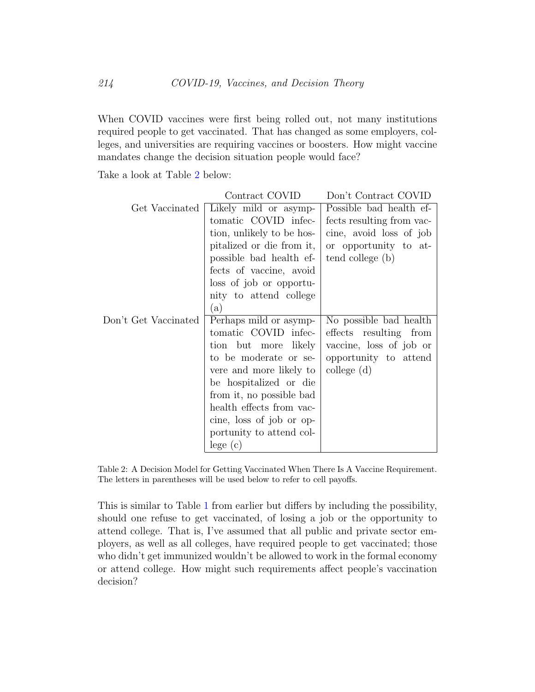When COVID vaccines were first being rolled out, not many institutions required people to get vaccinated. That has changed as some employers, colleges, and universities are requiring vaccines or boosters. How might vaccine mandates change the decision situation people would face?

Take a look at Table [2](#page-5-0) below:

|                      | Contract COVID            | Don't Contract COVID      |
|----------------------|---------------------------|---------------------------|
| Get Vaccinated       | Likely mild or asymp-     | Possible bad health ef-   |
|                      | tomatic COVID infec-      | fects resulting from vac- |
|                      | tion, unlikely to be hos- | cine, avoid loss of job   |
|                      | pitalized or die from it, | or opportunity to at-     |
|                      | possible bad health ef-   | tend college (b)          |
|                      | fects of vaccine, avoid   |                           |
|                      | loss of job or opportu-   |                           |
|                      | nity to attend college    |                           |
|                      | (a)                       |                           |
| Don't Get Vaccinated | Perhaps mild or asymp-    | No possible bad health    |
|                      | tomatic COVID infec-      | effects resulting from    |
|                      | likely<br>tion but more   | vaccine, loss of job or   |
|                      | to be moderate or se-     | opportunity to attend     |
|                      | vere and more likely to   | $\text{college } (d)$     |
|                      | be hospitalized or die    |                           |
|                      | from it, no possible bad  |                           |
|                      | health effects from vac-  |                           |
|                      | cine, loss of job or op-  |                           |
|                      | portunity to attend col-  |                           |
|                      | lege(c)                   |                           |

<span id="page-5-0"></span>Table 2: A Decision Model for Getting Vaccinated When There Is A Vaccine Requirement. The letters in parentheses will be used below to refer to cell payoffs.

This is similar to Table [1](#page-3-0) from earlier but differs by including the possibility, should one refuse to get vaccinated, of losing a job or the opportunity to attend college. That is, I've assumed that all public and private sector employers, as well as all colleges, have required people to get vaccinated; those who didn't get immunized wouldn't be allowed to work in the formal economy or attend college. How might such requirements affect people's vaccination decision?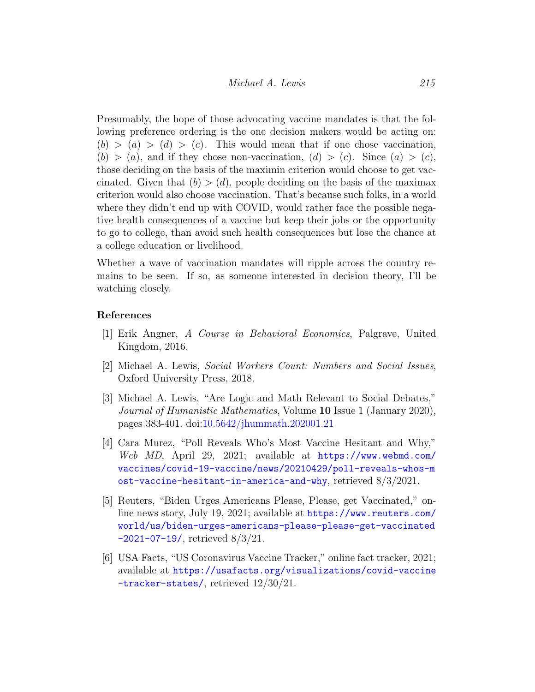Presumably, the hope of those advocating vaccine mandates is that the following preference ordering is the one decision makers would be acting on:  $(b) > (a) > (d) > (c)$ . This would mean that if one chose vaccination,  $(b) > (a)$ , and if they chose non-vaccination,  $(d) > (c)$ . Since  $(a) > (c)$ , those deciding on the basis of the maximin criterion would choose to get vaccinated. Given that  $(b) > (d)$ , people deciding on the basis of the maximax criterion would also choose vaccination. That's because such folks, in a world where they didn't end up with COVID, would rather face the possible negative health consequences of a vaccine but keep their jobs or the opportunity to go to college, than avoid such health consequences but lose the chance at a college education or livelihood.

Whether a wave of vaccination mandates will ripple across the country remains to be seen. If so, as someone interested in decision theory, I'll be watching closely.

#### References

- <span id="page-6-3"></span>[1] Erik Angner, A Course in Behavioral Economics, Palgrave, United Kingdom, 2016.
- <span id="page-6-4"></span>[2] Michael A. Lewis, Social Workers Count: Numbers and Social Issues, Oxford University Press, 2018.
- <span id="page-6-5"></span>[3] Michael A. Lewis, "Are Logic and Math Relevant to Social Debates," Journal of Humanistic Mathematics, Volume 10 Issue 1 (January 2020), pages 383-401. doi[:10.5642/jhummath.202001.21](http://dx.doi.org/10.5642/jhummath.202001.21)
- <span id="page-6-2"></span>[4] Cara Murez, "Poll Reveals Who's Most Vaccine Hesitant and Why," Web MD, April 29, 2021; available at [https://www.webmd.com/](https://www.webmd.com/vaccines/covid-19-vaccine/news/20210429/poll-reveals-whos-most-vaccine-hesitant-in-america-and-why) [vaccines/covid-19-vaccine/news/20210429/poll-reveals-whos-m](https://www.webmd.com/vaccines/covid-19-vaccine/news/20210429/poll-reveals-whos-most-vaccine-hesitant-in-america-and-why) [ost-vaccine-hesitant-in-america-and-why](https://www.webmd.com/vaccines/covid-19-vaccine/news/20210429/poll-reveals-whos-most-vaccine-hesitant-in-america-and-why), retrieved 8/3/2021.
- <span id="page-6-1"></span>[5] Reuters, "Biden Urges Americans Please, Please, get Vaccinated," online news story, July 19, 2021; available at [https://www.reuters.com/](https://www.reuters.com/world/us/biden-urges-americans-please-please-get-vaccinated-2021-07-19/) [world/us/biden-urges-americans-please-please-get-vaccinated](https://www.reuters.com/world/us/biden-urges-americans-please-please-get-vaccinated-2021-07-19/) [-2021-07-19/](https://www.reuters.com/world/us/biden-urges-americans-please-please-get-vaccinated-2021-07-19/), retrieved 8/3/21.
- <span id="page-6-0"></span>[6] USA Facts, "US Coronavirus Vaccine Tracker," online fact tracker, 2021; available at [https://usafacts.org/visualizations/covid-vaccine](https://usafacts.org/visualizations/covid-vaccine-tracker-states/) [-tracker-states/](https://usafacts.org/visualizations/covid-vaccine-tracker-states/), retrieved 12/30/21.